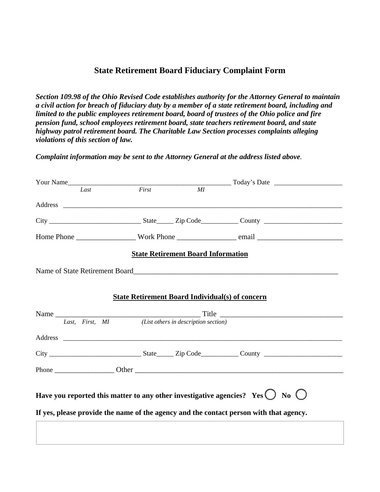## **State Retirement Board Fiduciary Complaint Form**

*Section 109.98 of the Ohio Revised Code establishes authority for the Attorney General to maintain a civil action for breach of fiduciary duty by a member of a state retirement board, including and limited to the public employees retirement board, board of trustees of the Ohio police and fire pension fund, school employees retirement board, state teachers retirement board, and state highway patrol retirement board. The Charitable Law Section processes complaints alleging violations of this section of law.* 

*Complaint information may be sent to the Attorney General at the address listed above.* 

| Your Name       |       |                                           | $\frac{1}{2}$ Today's Date $\frac{1}{2}$                                                        |
|-----------------|-------|-------------------------------------------|-------------------------------------------------------------------------------------------------|
| Last            | First | MI                                        |                                                                                                 |
|                 |       |                                           |                                                                                                 |
|                 |       |                                           |                                                                                                 |
|                 |       |                                           |                                                                                                 |
|                 |       | <b>State Retirement Board Information</b> |                                                                                                 |
|                 |       |                                           |                                                                                                 |
|                 |       |                                           |                                                                                                 |
|                 |       |                                           | <b>State Retirement Board Individual(s) of concern</b>                                          |
|                 |       |                                           |                                                                                                 |
| Last, First, MI |       | (List others in description section)      |                                                                                                 |
|                 |       |                                           |                                                                                                 |
|                 |       |                                           |                                                                                                 |
|                 |       |                                           |                                                                                                 |
|                 |       |                                           |                                                                                                 |
|                 |       |                                           | Have you reported this matter to any other investigative agencies? Yes $\bigcirc$ No $\bigcirc$ |
|                 |       |                                           | If yes, please provide the name of the agency and the contact person with that agency.          |
|                 |       |                                           |                                                                                                 |
|                 |       |                                           |                                                                                                 |
|                 |       |                                           |                                                                                                 |